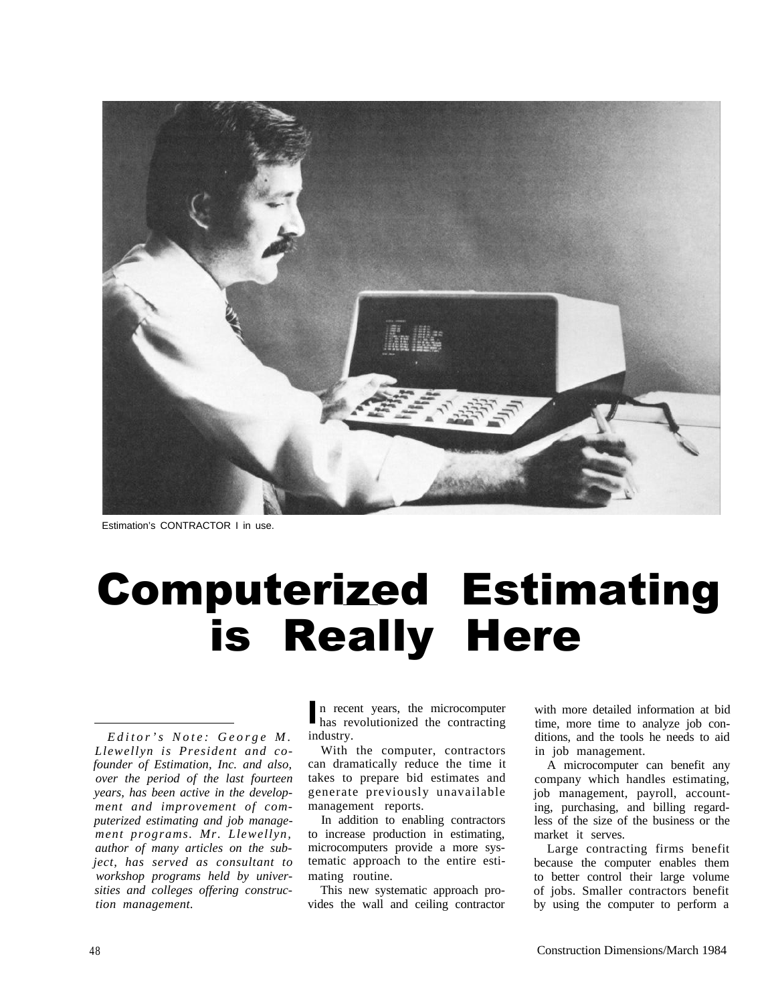

Estimation's CONTRACTOR I in use.

# Computerized Estimating is Really Here

*Editor's Note: George M. Llewellyn is President and cofounder of Estimation, Inc. and also, over the period of the last fourteen years, has been active in the development and improvement of computerized estimating and job management programs. Mr. Llewellyn, author of many articles on the subject, has served as consultant to workshop programs held by universities and colleges offering construction management.*

In recent years, the microcomputer<br>has revolutionized the contracting has revolutionized the contracting industry.

With the computer, contractors can dramatically reduce the time it takes to prepare bid estimates and generate previously unavailable management reports.

In addition to enabling contractors to increase production in estimating, microcomputers provide a more systematic approach to the entire estimating routine.

This new systematic approach provides the wall and ceiling contractor

with more detailed information at bid time, more time to analyze job conditions, and the tools he needs to aid in job management.

A microcomputer can benefit any company which handles estimating, job management, payroll, accounting, purchasing, and billing regardless of the size of the business or the market it serves.

Large contracting firms benefit because the computer enables them to better control their large volume of jobs. Smaller contractors benefit by using the computer to perform a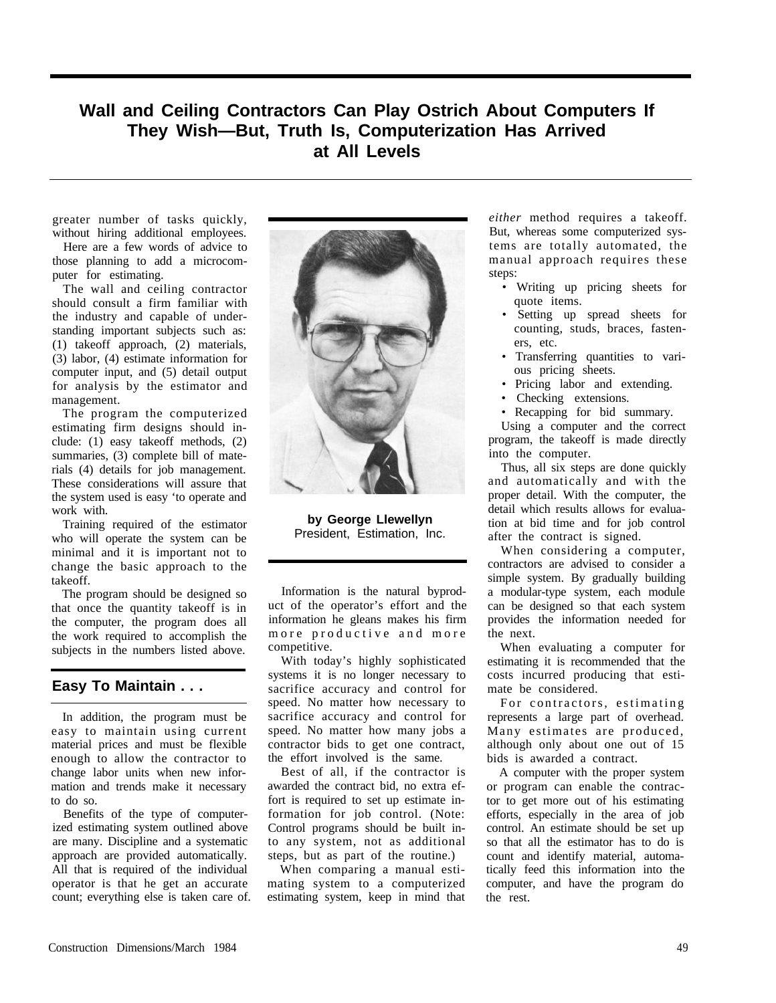### **Wall and Ceiling Contractors Can Play Ostrich About Computers If They Wish—But, Truth Is, Computerization Has Arrived at All Levels**

greater number of tasks quickly, without hiring additional employees.

Here are a few words of advice to those planning to add a microcomputer for estimating.

The wall and ceiling contractor should consult a firm familiar with the industry and capable of understanding important subjects such as: (1) takeoff approach, (2) materials, (3) labor, (4) estimate information for computer input, and (5) detail output for analysis by the estimator and management.

The program the computerized estimating firm designs should include: (1) easy takeoff methods, (2) summaries, (3) complete bill of materials (4) details for job management. These considerations will assure that the system used is easy 'to operate and work with.

Training required of the estimator who will operate the system can be minimal and it is important not to change the basic approach to the takeoff.

The program should be designed so that once the quantity takeoff is in the computer, the program does all the work required to accomplish the subjects in the numbers listed above.

#### **Easy To Maintain . . .**

In addition, the program must be easy to maintain using current material prices and must be flexible enough to allow the contractor to change labor units when new information and trends make it necessary to do so.

Benefits of the type of computerized estimating system outlined above are many. Discipline and a systematic approach are provided automatically. All that is required of the individual operator is that he get an accurate count; everything else is taken care of.



**by George Llewellyn** President, Estimation, Inc.

Information is the natural byproduct of the operator's effort and the information he gleans makes his firm more productive and more competitive.

With today's highly sophisticated systems it is no longer necessary to sacrifice accuracy and control for speed. No matter how necessary to sacrifice accuracy and control for speed. No matter how many jobs a contractor bids to get one contract, the effort involved is the same.

Best of all, if the contractor is awarded the contract bid, no extra effort is required to set up estimate information for job control. (Note: Control programs should be built into any system, not as additional steps, but as part of the routine.)

When comparing a manual estimating system to a computerized estimating system, keep in mind that

*either* method requires a takeoff. But, whereas some computerized systems are totally automated, the manual approach requires these steps:

- Writing up pricing sheets for quote items.
- Setting up spread sheets for counting, studs, braces, fasteners, etc.
- Transferring quantities to various pricing sheets.
- Pricing labor and extending.
- Checking extensions.
- Recapping for bid summary.

Using a computer and the correct program, the takeoff is made directly into the computer.

Thus, all six steps are done quickly and automatically and with the proper detail. With the computer, the detail which results allows for evaluation at bid time and for job control after the contract is signed.

When considering a computer, contractors are advised to consider a simple system. By gradually building a modular-type system, each module can be designed so that each system provides the information needed for the next.

When evaluating a computer for estimating it is recommended that the costs incurred producing that estimate be considered.

For contractors, estimating represents a large part of overhead. Many estimates are produced, although only about one out of 15 bids is awarded a contract.

A computer with the proper system or program can enable the contractor to get more out of his estimating efforts, especially in the area of job control. An estimate should be set up so that all the estimator has to do is count and identify material, automatically feed this information into the computer, and have the program do the rest.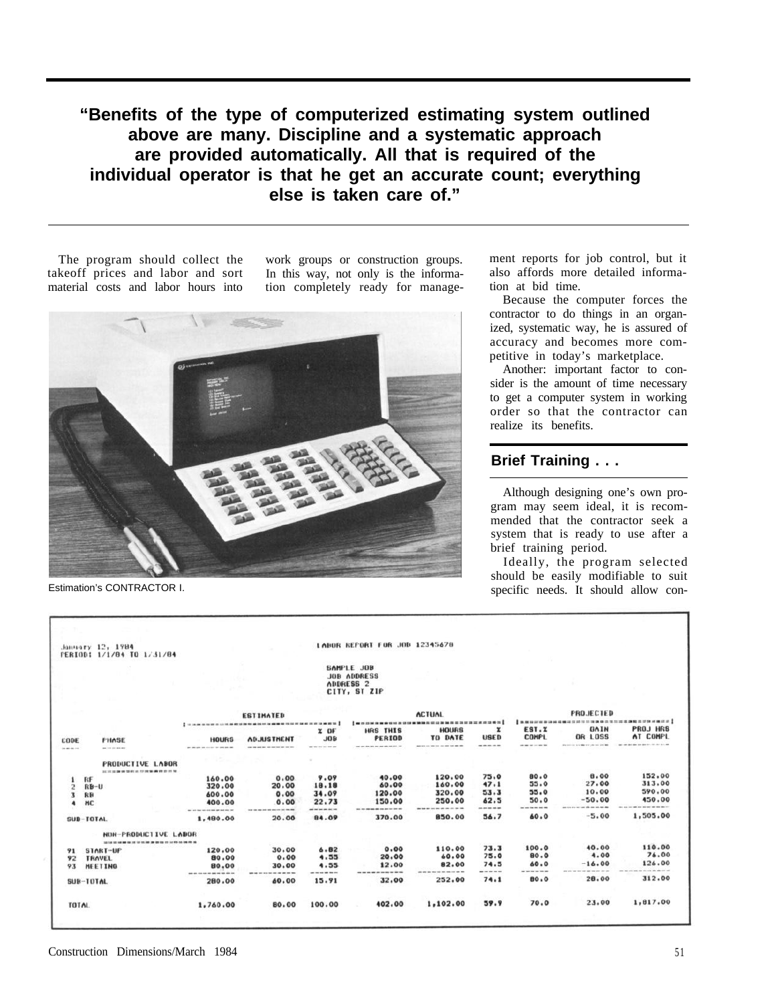## **"Benefits of the type of computerized estimating system outlined above are many. Discipline and a systematic approach are provided automatically. All that is required of the individual operator is that he get an accurate count; everything else is taken care of."**

The program should collect the work groups or construction groups.

takeoff prices and labor and sort In this way, not only is the informamaterial costs and labor hours into tion completely ready for manage-



Estimation's CONTRACTOR I.

ment reports for job control, but it also affords more detailed information at bid time.

Because the computer forces the contractor to do things in an organized, systematic way, he is assured of accuracy and becomes more competitive in today's marketplace.

Another: important factor to consider is the amount of time necessary to get a computer system in working order so that the contractor can realize its benefits.

#### **Brief Training . . .**

Although designing one's own program may seem ideal, it is recommended that the contractor seek a system that is ready to use after a brief training period.

Ideally, the program selected should be easily modifiable to suit specific needs. It should allow con-

|                         | January 12, 1984<br>PERIOD: 1/1/84 TO 1/31/84                                 |                                                                    |                          |                                       | LABOR REFORT FOR JOB 12345678                                            |                                                                          |                           |                                 |                                                                              |                                                                             |  |
|-------------------------|-------------------------------------------------------------------------------|--------------------------------------------------------------------|--------------------------|---------------------------------------|--------------------------------------------------------------------------|--------------------------------------------------------------------------|---------------------------|---------------------------------|------------------------------------------------------------------------------|-----------------------------------------------------------------------------|--|
|                         |                                                                               |                                                                    |                          |                                       | SAMPLE JOB<br><b>JOB ADDRESS</b><br>ADDRESS <sub>2</sub><br>CITY, ST ZIP |                                                                          |                           |                                 |                                                                              |                                                                             |  |
|                         |                                                                               |                                                                    | <b>ESTIMATED</b>         |                                       |                                                                          | <b>ACTUAL</b><br><b>BOOKSBOSSSSSSSSSSSSSSSSSSSSSSSSSS</b>                |                           |                                 | <b>PROJECTED</b><br><b>BERVRHBIE</b><br><b>I BENNINGHAMEN THE THE BELLET</b> |                                                                             |  |
| CODE<br>the age for the | <b>FHASE</b><br>an international                                              | <b>I </b><br><b>HOURS</b><br>or the ain on our own the ant als and | <b><i>ADJUSTHENT</i></b> | 20F<br>$J$ 0 <sub>B</sub><br>-------- | HRS THIS<br>PERIOD<br>the state size has not that with the state of      | <b>HOURS</b><br>TO DATE<br>and lots and two days are sign that sign with | x<br><b>USED</b><br>----- | EST.X<br><b>COMPL</b><br>------ | GAIN<br>OR LOSS<br>the process is a state of the contract and                | PROJ HRS<br>AT COMPL<br>and them that they done have been them they are the |  |
|                         | <b>PRODUCTIVE LABOR</b><br>AN AN AN AM ON OUR ART ART COUNTIER WE WANT TO THE |                                                                    |                          |                                       |                                                                          |                                                                          |                           |                                 |                                                                              |                                                                             |  |
| 1                       | RF                                                                            | 160.00                                                             | 0.00                     | 9.09                                  | 40.00<br>60.00                                                           | 120.00<br>160.00                                                         | 75.0<br>47.1              | 80.0<br>55.0                    | 8.00<br>27.00                                                                | 152,00<br>313.00                                                            |  |
| 2                       | $R + U$                                                                       | 320.00<br>600.00                                                   | 20.00<br>0.00            | 18.18<br>34.09                        | 120.00                                                                   | 320.00                                                                   | 53.3                      | 55.0                            | 10.00                                                                        | 590.00                                                                      |  |
| 3<br>4                  | RB<br>HC                                                                      | 400.00                                                             | 0.00                     | 22.73                                 | 150.00                                                                   | 250.00                                                                   | 62.5                      | 50.0<br>-------                 | $-50.00$<br>and with them from them they<br>and the state and                | 450.00                                                                      |  |
|                         | SUB-TOTAL                                                                     | by all the two controls are not not the two<br>1,480.00            | 20.00                    | an widow an include<br>84.09          | --------<br>370.00                                                       | 850.00                                                                   | ------<br>56.7            | 60.0                            | $-5.00$                                                                      | 1,505.00                                                                    |  |
|                         | NUN-PRODUCTIVE LABOR<br>12 14 15 18 18                                        |                                                                    |                          |                                       |                                                                          |                                                                          |                           |                                 |                                                                              |                                                                             |  |
| 91                      | START-UP                                                                      | 120.00                                                             | 30.00                    | 6.82                                  | 0.00                                                                     | 110.00                                                                   | 73.3                      | 100.0                           | 40.00                                                                        | 110.00                                                                      |  |
| 92                      | <b>TRAVEL</b>                                                                 | 80.00                                                              | 0.00                     | 4.55                                  | 20.00                                                                    | 60.00                                                                    | 75.0                      | 80.0                            | 4.00                                                                         | 76.00<br>126.00                                                             |  |
| 93                      | <b>HEETING</b>                                                                | 80.00<br>pos are con non set and she has sink the                  | 30.00                    | 4.55<br>-------                       | 12.00<br>-----                                                           | 82.00                                                                    | 74.5<br>-----             | 60.0<br>------                  | $-16.00$                                                                     |                                                                             |  |
|                         | SUB-TOTAL                                                                     | 280.00                                                             | 60.00                    | 15.91                                 | 32.00                                                                    | 252.00                                                                   | 74.1                      | 80.0                            | 28.00                                                                        | 312.00                                                                      |  |
| <b>TOTAL</b>            |                                                                               | 1,760.00                                                           | 80.00                    | 100.00                                | 402.00                                                                   | 1,102.00                                                                 | 59.9                      | 70.0                            | 23.00                                                                        | 1,817.00                                                                    |  |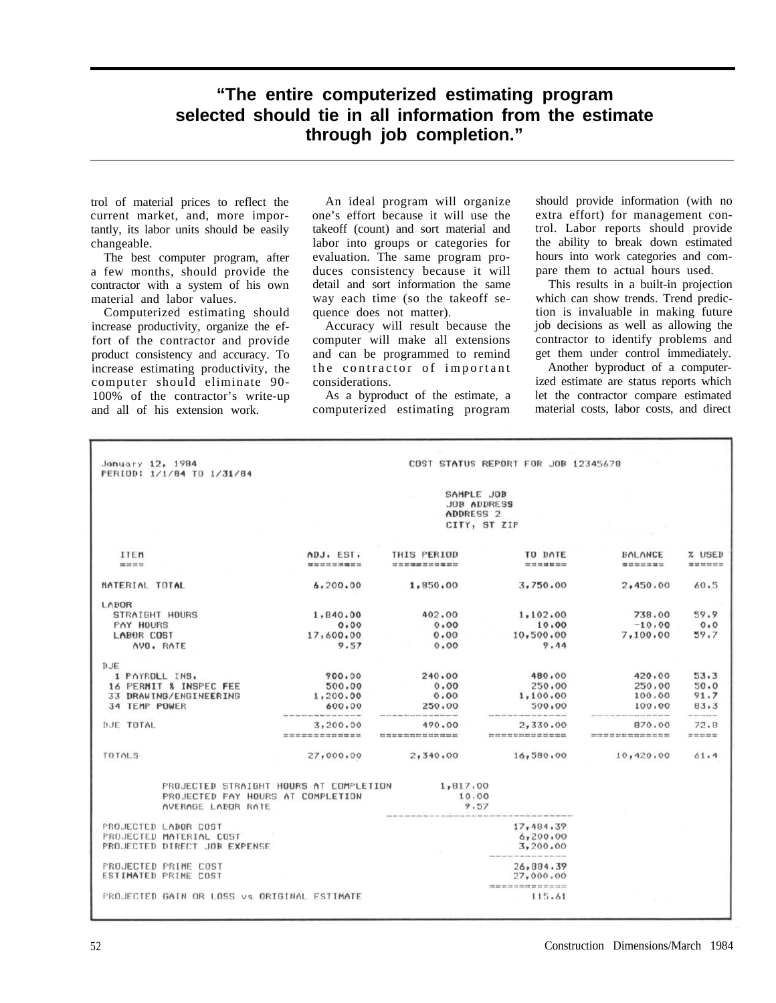## **"The entire computerized estimating program selected should tie in all information from the estimate through job completion."**

trol of material prices to reflect the current market, and, more importantly, its labor units should be easily changeable.

The best computer program, after a few months, should provide the contractor with a system of his own material and labor values.

Computerized estimating should increase productivity, organize the effort of the contractor and provide product consistency and accuracy. To increase estimating productivity, the computer should eliminate 90- 100% of the contractor's write-up and all of his extension work.

An ideal program will organize one's effort because it will use the takeoff (count) and sort material and labor into groups or categories for evaluation. The same program produces consistency because it will detail and sort information the same way each time (so the takeoff sequence does not matter).

Accuracy will result because the computer will make all extensions and can be programmed to remind the contractor of important considerations.

As a byproduct of the estimate, a computerized estimating program

should provide information (with no extra effort) for management control. Labor reports should provide the ability to break down estimated hours into work categories and compare them to actual hours used.

This results in a built-in projection which can show trends. Trend prediction is invaluable in making future job decisions as well as allowing the contractor to identify problems and get them under control immediately.

Another byproduct of a computerized estimate are status reports which let the contractor compare estimated material costs, labor costs, and direct

| January 12, 1984                                                            |                                                                    |                                                          | COST STATUS REPORT FOR JOB 12345678                           |                                                                           |                             |              |  |  |  |
|-----------------------------------------------------------------------------|--------------------------------------------------------------------|----------------------------------------------------------|---------------------------------------------------------------|---------------------------------------------------------------------------|-----------------------------|--------------|--|--|--|
| PERIOD: 1/1/84 TO 1/31/84                                                   |                                                                    |                                                          |                                                               |                                                                           |                             |              |  |  |  |
|                                                                             |                                                                    | SAMPLE JOB<br><b>JOB ADDRESS</b><br>ADDRESS <sub>2</sub> |                                                               |                                                                           |                             |              |  |  |  |
|                                                                             |                                                                    |                                                          |                                                               |                                                                           |                             | CITY, ST ZIP |  |  |  |
|                                                                             |                                                                    |                                                          |                                                               |                                                                           |                             |              |  |  |  |
| ITEM                                                                        | ADJ. EST.                                                          | THIS PERIOD                                              | TO DATE                                                       | <b>BALANCE</b>                                                            | % USED                      |              |  |  |  |
| see on on he                                                                | 20 00 00 00 00 00 00 00 00 00 00                                   | out one can see and out our can be and one con-          | ---------                                                     |                                                                           | -----------                 |              |  |  |  |
| MATERIAL TOTAL                                                              | 6, 200, 00                                                         | 1,850,00                                                 | 3,750,00                                                      | 2,450,00                                                                  | 60.5                        |              |  |  |  |
| LABOR                                                                       |                                                                    |                                                          |                                                               |                                                                           |                             |              |  |  |  |
| STRAIGHT HOURS                                                              | 1,840.00                                                           | 402.00                                                   | 1, 102, 00                                                    | 738,00                                                                    | 59.9                        |              |  |  |  |
| <b>PAY HOURS</b>                                                            | 0.00                                                               | 0.00                                                     | 10.00                                                         | $-10.00$                                                                  | 0.0                         |              |  |  |  |
| LABOR COST                                                                  | 17,600.00                                                          | 0.00                                                     | 10,500.00                                                     | 7,100.00                                                                  | 59.7                        |              |  |  |  |
| AVG. RATE                                                                   | 9.57                                                               | 0.00                                                     | 9.44                                                          |                                                                           |                             |              |  |  |  |
| <b>DJE</b>                                                                  |                                                                    |                                                          |                                                               |                                                                           |                             |              |  |  |  |
| 1 PAYROLL INS.                                                              | 900.00                                                             | 240.00                                                   | 480.00                                                        | 420.00                                                                    | 53.3                        |              |  |  |  |
| 16 PERMIT & INSPEC FEE                                                      | 500.00                                                             | 0.00                                                     | 250.00                                                        | 250,00                                                                    | 50.0                        |              |  |  |  |
| 33 DRAWING/ENGINEERING                                                      | 1, 200, 00                                                         | 0.00                                                     | 1,100.00                                                      | 100,00                                                                    | 91.7                        |              |  |  |  |
| 34 TEMP POWER                                                               | 600.00                                                             | 250.00                                                   | 500.00                                                        | 100,00                                                                    | 83.3                        |              |  |  |  |
|                                                                             | them done about hours down stated bank about about them would down |                                                          |                                                               | ters will be want last                                                    | --------                    |              |  |  |  |
| DJE TOTAL                                                                   | 3, 200, 00                                                         | 490.00                                                   | 2,330.00                                                      | 870,00                                                                    | 72.8                        |              |  |  |  |
|                                                                             | 202 202 203 204 205 206 207 208 209 209 209 209 209                | wid was also were only you will you also also also also  |                                                               | $200\,$ cm $201\,$ cm $200\,$ cm $200\,$ cm $200\,$ cm $200\,$ cm $200\,$ | $20^\circ$ 000 km $200$ 000 |              |  |  |  |
| <b>TOTALS</b>                                                               | 27,000.00                                                          | 2,340.00                                                 | 16,580.00                                                     | 10,420.00                                                                 | 61.4                        |              |  |  |  |
| PROJECTED STRAIGHT HOURS AT COMPLETION<br>PROJECTED PAY HOURS AT COMPLETION |                                                                    | 1, 817, 00                                               | 10.00                                                         |                                                                           |                             |              |  |  |  |
| AVERAGE LABOR RATE                                                          |                                                                    | 9.57                                                     |                                                               |                                                                           |                             |              |  |  |  |
| PROJECTED LABOR COST                                                        |                                                                    | 17,484.39                                                |                                                               |                                                                           |                             |              |  |  |  |
| PROJECTED MATERIAL COST                                                     |                                                                    | 6, 200, 00                                               |                                                               |                                                                           |                             |              |  |  |  |
| PROJECTED DIRECT JOB EXPENSE                                                |                                                                    | 3,200.00                                                 |                                                               |                                                                           |                             |              |  |  |  |
| <b>PROJECTED PRIME COST</b>                                                 |                                                                    | 26,884.39                                                |                                                               |                                                                           |                             |              |  |  |  |
| ESTIMATED PRIME COST                                                        |                                                                    | 27,000.00                                                |                                                               |                                                                           |                             |              |  |  |  |
|                                                                             |                                                                    |                                                          | cho and with the character that they have seen your countries |                                                                           |                             |              |  |  |  |
| PROJECTED GAIN OR LOSS vs ORIGINAL ESTIMATE                                 |                                                                    | 115.61                                                   |                                                               |                                                                           |                             |              |  |  |  |
|                                                                             |                                                                    |                                                          |                                                               |                                                                           |                             |              |  |  |  |